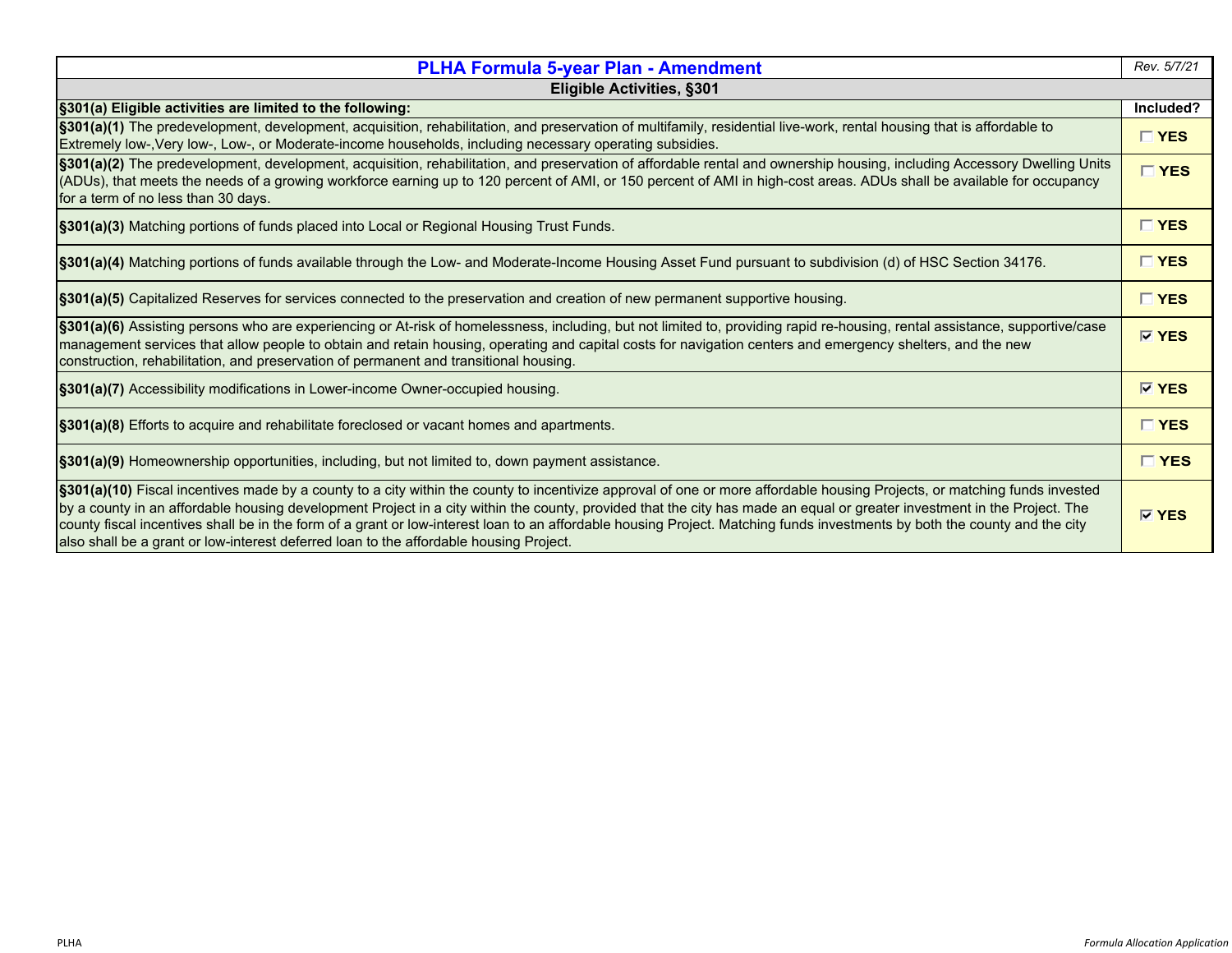| <b>PLHA Formula 5-year Plan - Amendment</b>                                                                                                                                                                                                                                                                                                                                                                                                                                                                                                                                                                                   | Rev. 5/7/21        |
|-------------------------------------------------------------------------------------------------------------------------------------------------------------------------------------------------------------------------------------------------------------------------------------------------------------------------------------------------------------------------------------------------------------------------------------------------------------------------------------------------------------------------------------------------------------------------------------------------------------------------------|--------------------|
| <b>Eligible Activities, §301</b>                                                                                                                                                                                                                                                                                                                                                                                                                                                                                                                                                                                              |                    |
| §301(a) Eligible activities are limited to the following:                                                                                                                                                                                                                                                                                                                                                                                                                                                                                                                                                                     | Included?          |
| §301(a)(1) The predevelopment, development, acquisition, rehabilitation, and preservation of multifamily, residential live-work, rental housing that is affordable to<br>Extremely low-, Very low-, Low-, or Moderate-income households, including necessary operating subsidies.                                                                                                                                                                                                                                                                                                                                             | <b>TYES</b>        |
| §301(a)(2) The predevelopment, development, acquisition, rehabilitation, and preservation of affordable rental and ownership housing, including Accessory Dwelling Units<br>(ADUs), that meets the needs of a growing workforce earning up to 120 percent of AMI, or 150 percent of AMI in high-cost areas. ADUs shall be available for occupancy<br>for a term of no less than 30 days.                                                                                                                                                                                                                                      | $\Box$ YES         |
| §301(a)(3) Matching portions of funds placed into Local or Regional Housing Trust Funds.                                                                                                                                                                                                                                                                                                                                                                                                                                                                                                                                      | $\Box$ YES         |
| S301(a)(4) Matching portions of funds available through the Low- and Moderate-Income Housing Asset Fund pursuant to subdivision (d) of HSC Section 34176.                                                                                                                                                                                                                                                                                                                                                                                                                                                                     | $\Box$ YES         |
| §301(a)(5) Capitalized Reserves for services connected to the preservation and creation of new permanent supportive housing.                                                                                                                                                                                                                                                                                                                                                                                                                                                                                                  | $\Box$ YES         |
| §301(a)(6) Assisting persons who are experiencing or At-risk of homelessness, including, but not limited to, providing rapid re-housing, rental assistance, supportive/case<br>management services that allow people to obtain and retain housing, operating and capital costs for navigation centers and emergency shelters, and the new<br>construction, rehabilitation, and preservation of permanent and transitional housing.                                                                                                                                                                                            | <b>V</b> YES       |
| §301(a)(7) Accessibility modifications in Lower-income Owner-occupied housing.                                                                                                                                                                                                                                                                                                                                                                                                                                                                                                                                                | $\nabla$ YES       |
| <b>§301(a)(8)</b> Efforts to acquire and rehabilitate foreclosed or vacant homes and apartments.                                                                                                                                                                                                                                                                                                                                                                                                                                                                                                                              | $\Box$ YES         |
| §301(a)(9) Homeownership opportunities, including, but not limited to, down payment assistance.                                                                                                                                                                                                                                                                                                                                                                                                                                                                                                                               | $\Box$ YES         |
| §301(a)(10) Fiscal incentives made by a county to a city within the county to incentivize approval of one or more affordable housing Projects, or matching funds invested<br>by a county in an affordable housing development Project in a city within the county, provided that the city has made an equal or greater investment in the Project. The<br>county fiscal incentives shall be in the form of a grant or low-interest loan to an affordable housing Project. Matching funds investments by both the county and the city<br>also shall be a grant or low-interest deferred loan to the affordable housing Project. | $\overline{V}$ YES |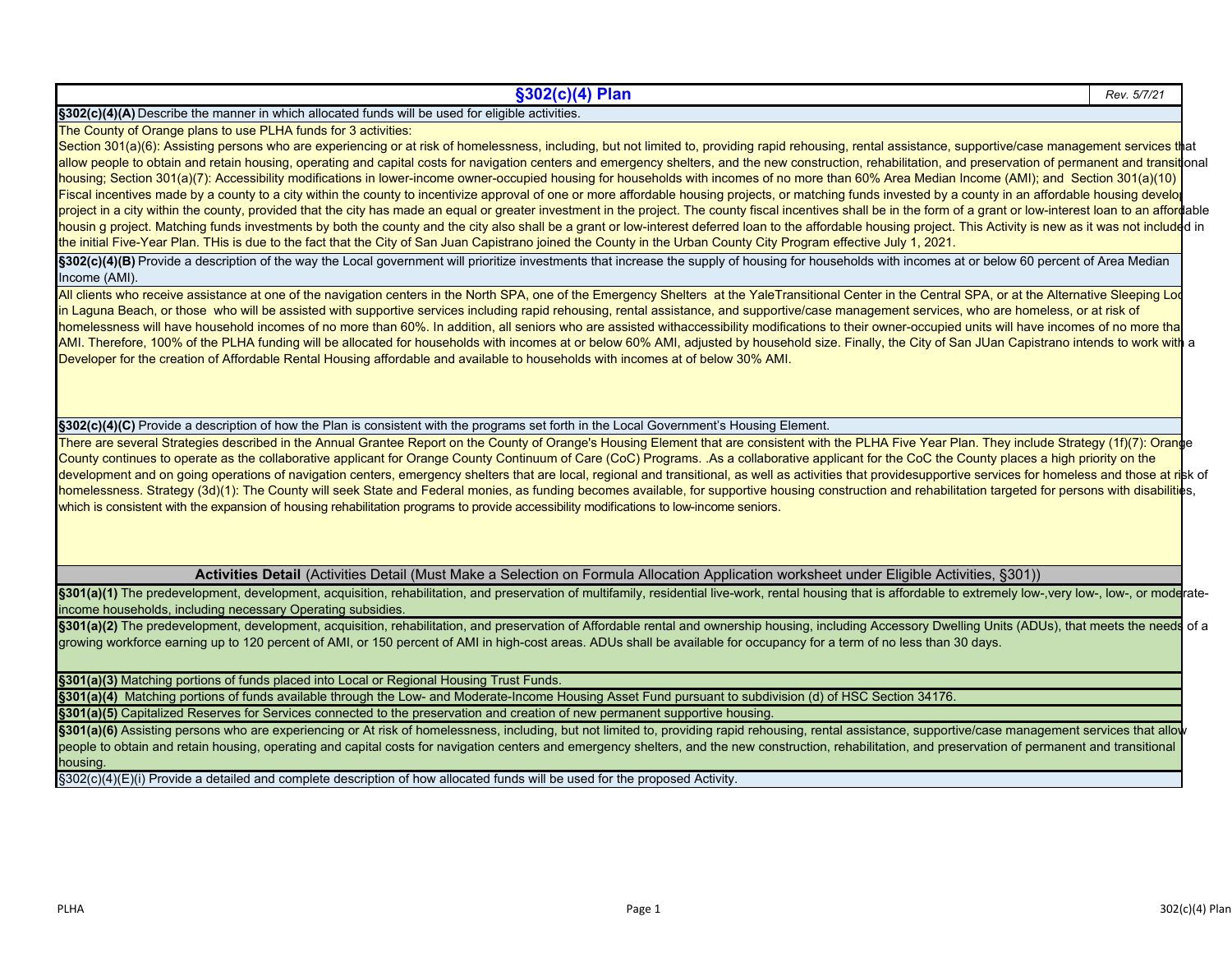## **§302(c)(4) Plan** *Rev. 5/7/21*

**§302(c)(4)(A)** Describe the manner in which allocated funds will be used for eligible activities.

The County of Orange plans to use PLHA funds for 3 activities:

Section 301(a)(6): Assisting persons who are experiencing or at risk of homelessness, including, but not limited to, providing rapid rehousing, rental assistance, supportive/case management services that allow people to obtain and retain housing, operating and capital costs for navigation centers and emergency shelters, and the new construction, rehabilitation, and preservation of permanent and transitional housing; Section 301(a)(7): Accessibility modifications in lower-income owner-occupied housing for households with incomes of no more than 60% Area Median Income (AMI); and Section 301(a)(10) Fiscal incentives made by a county to a city within the county to incentivize approval of one or more affordable housing projects, or matching funds invested by a county in an affordable housing develop project in a city within the county, provided that the city has made an equal or greater investment in the project. The county fiscal incentives shall be in the form of a grant or low-interest loan to an affordable housin g project. Matching funds investments by both the county and the city also shall be a grant or low-interest deferred loan to the affordable housing project. This Activity is new as it was not included in the initial Five-Year Plan. THis is due to the fact that the City of San Juan Capistrano joined the County in the Urban County City Program effective July 1, 2021.

§302(c)(4)(B) Provide a description of the way the Local government will prioritize investments that increase the supply of housing for households with incomes at or below 60 percent of Area Median Income (AMI).

All clients who receive assistance at one of the navigation centers in the North SPA, one of the Emergency Shelters at the YaleTransitional Center in the Central SPA, or at the Alternative Sleeping Loc in Laguna Beach, or those who will be assisted with supportive services including rapid rehousing, rental assistance, and supportive/case management services, who are homeless, or at risk of homelessness will have household incomes of no more than 60%. In addition, all seniors who are assisted withaccessibility modifications to their owner-occupied units will have incomes of no more than AMI. Therefore, 100% of the PLHA funding will be allocated for households with incomes at or below 60% AMI, adjusted by household size. Finally, the City of San JUan Capistrano intends to work with a Developer for the creation of Affordable Rental Housing affordable and available to households with incomes at of below 30% AMI.

**§302(c)(4)(C)** Provide a description of how the Plan is consistent with the programs set forth in the Local Government's Housing Element.

There are several Strategies described in the Annual Grantee Report on the County of Orange's Housing Element that are consistent with the PLHA Five Year Plan. They include Strategy (1f)(7): Orange County continues to operate as the collaborative applicant for Orange County Continuum of Care (CoC) Programs. .As a collaborative applicant for the CoC the County places a high priority on the development and on going operations of navigation centers, emergency shelters that are local, regional and transitional, as well as activities that providesupportive services for homeless and those at risk of homelessness. Strategy (3d)(1): The County will seek State and Federal monies, as funding becomes available, for supportive housing construction and rehabilitation targeted for persons with disabilities, which is consistent with the expansion of housing rehabilitation programs to provide accessibility modifications to low-income seniors.

**Activities Detail** (Activities Detail (Must Make a Selection on Formula Allocation Application worksheet under Eligible Activities, §301))

§301(a)(1) The predevelopment, development, acquisition, rehabilitation, and preservation of multifamily, residential live-work, rental housing that is affordable to extremely low-,very low-, low-, or moderateincome households, including necessary Operating subsidies.

§301(a)(2) The predevelopment, development, acquisition, rehabilitation, and preservation of Affordable rental and ownership housing, including Accessory Dwelling Units (ADUs), that meets the needs of a growing workforce earning up to 120 percent of AMI, or 150 percent of AMI in high-cost areas. ADUs shall be available for occupancy for a term of no less than 30 days.

**§301(a)(3)** Matching portions of funds placed into Local or Regional Housing Trust Funds.

**§301(a)(4)** Matching portions of funds available through the Low- and Moderate-Income Housing Asset Fund pursuant to subdivision (d) of HSC Section 34176.

**§301(a)(5)** Capitalized Reserves for Services connected to the preservation and creation of new permanent supportive housing.

§301(a)(6) Assisting persons who are experiencing or At risk of homelessness, including, but not limited to, providing rapid rehousing, rental assistance, supportive/case management services that allow people to obtain and retain housing, operating and capital costs for navigation centers and emergency shelters, and the new construction, rehabilitation, and preservation of permanent and transitional housing.

§302(c)(4)(E)(i) Provide a detailed and complete description of how allocated funds will be used for the proposed Activity.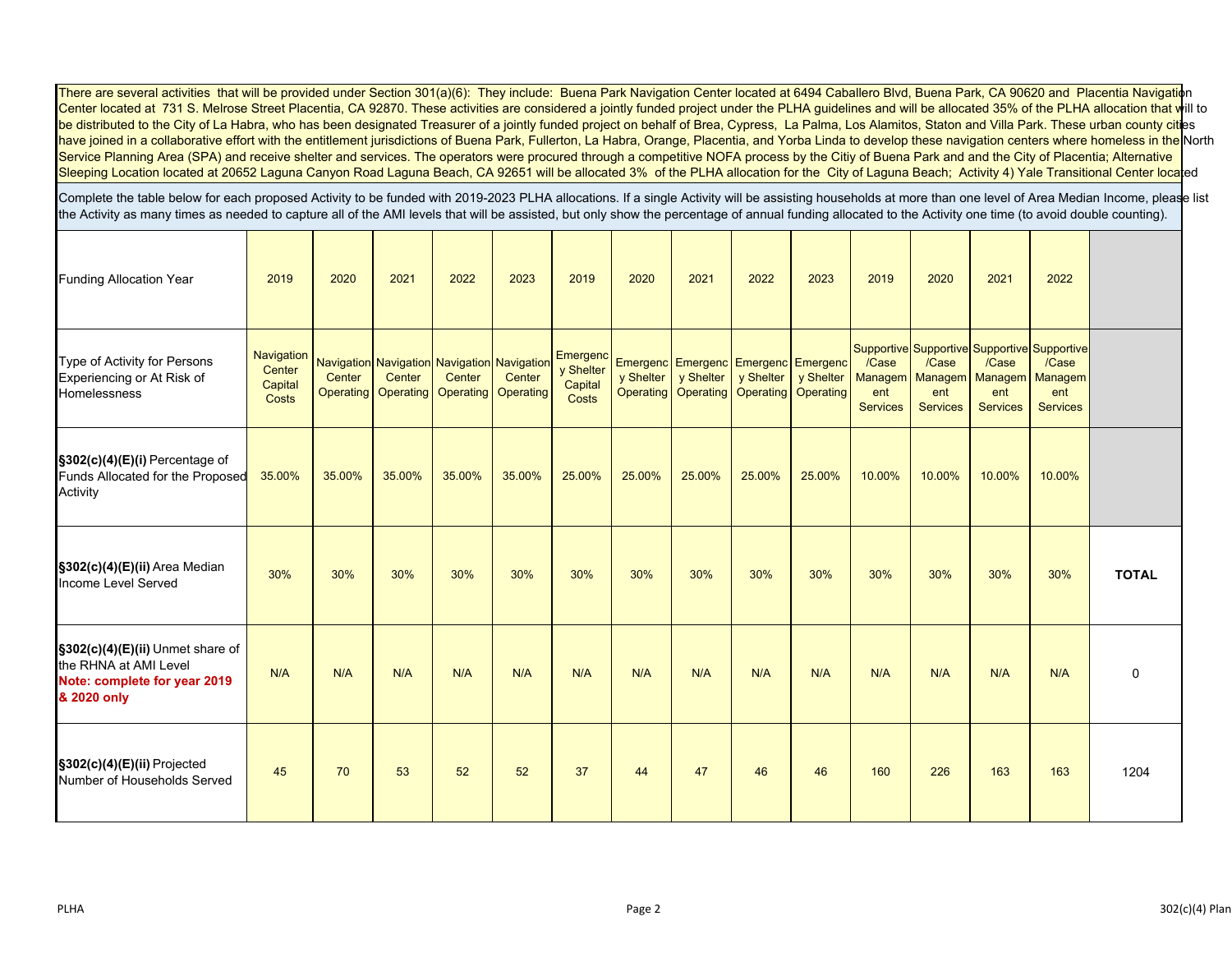There are several activities that will be provided under Section 301(a)(6): They include: Buena Park Navigation Center located at 6494 Caballero Blvd, Buena Park, CA 90620 and Placentia Navigation Center located at 731 S. Melrose Street Placentia, CA 92870. These activities are considered a jointly funded project under the PLHA guidelines and will be allocated 35% of the PLHA allocation that will to be distributed to the City of La Habra, who has been designated Treasurer of a jointly funded project on behalf of Brea, Cypress, La Palma, Los Alamitos, Staton and Villa Park. These urban county cities have joined in a collaborative effort with the entitlement jurisdictions of Buena Park, Fullerton, La Habra, Orange, Placentia, and Yorba Linda to develop these navigation centers where homeless in the North Service Planning Area (SPA) and receive shelter and services. The operators were procured through a competitive NOFA process by the Citiy of Buena Park and and the City of Placentia; Alternative Sleeping Location located at 20652 Laguna Canyon Road Laguna Beach, CA 92651 will be allocated 3% of the PLHA allocation for the City of Laguna Beach; Activity 4) Yale Transitional Center located

Complete the table below for each proposed Activity to be funded with 2019-2023 PLHA allocations. If a single Activity will be assisting households at more than one level of Area Median Income, please list the Activity as many times as needed to capture all of the AMI levels that will be assisted, but only show the percentage of annual funding allocated to the Activity one time (to avoid double counting).

| <b>Funding Allocation Year</b>                                                    | 2019                                     | 2020   | 2021                          | 2022                                                                                | 2023   | 2019                                      | 2020   | 2021                                             | 2022                                                                 | 2023                   | 2019                            | 2020                                                                       | 2021                            | 2022                                                                           |              |
|-----------------------------------------------------------------------------------|------------------------------------------|--------|-------------------------------|-------------------------------------------------------------------------------------|--------|-------------------------------------------|--------|--------------------------------------------------|----------------------------------------------------------------------|------------------------|---------------------------------|----------------------------------------------------------------------------|---------------------------------|--------------------------------------------------------------------------------|--------------|
| Type of Activity for Persons<br>Experiencing or At Risk of<br>Homelessness        | Navigation<br>Center<br>Capital<br>Costs | Center | Center<br>Operating Operating | Navigation Navigation Navigation Navigation<br>Center<br><b>Operating Operating</b> | Center | Emergenc<br>y Shelter<br>Capital<br>Costs |        | y Shelter   y Shelter  <br>Operating   Operating | Emergenc Emergenc Emergenc Emergenc<br>y Shelter<br><b>Operating</b> | y Shelter<br>Operating | /Case<br>ent<br><b>Services</b> | /Case<br>Managem   Managem   Managem   Managem  <br>ent<br><b>Services</b> | /Case<br>ent<br><b>Services</b> | Supportive Supportive Supportive Supportive<br>/Case<br>ent<br><b>Services</b> |              |
| $\S302(c)(4)(E)(i)$ Percentage of<br>Funds Allocated for the Proposed<br>Activity | 35.00%                                   | 35.00% | 35.00%                        | 35.00%                                                                              | 35.00% | 25.00%                                    | 25.00% | 25.00%                                           | 25.00%                                                               | 25.00%                 | 10.00%                          | 10.00%                                                                     | 10.00%                          | 10.00%                                                                         |              |
| §302(c)(4)(E)(ii) Area Median<br>Income Level Served                              | 30%                                      | 30%    | 30%                           | 30%                                                                                 | 30%    | 30%                                       | 30%    | 30%                                              | 30%                                                                  | 30%                    | 30%                             | 30%                                                                        | 30%                             | 30%                                                                            | <b>TOTAL</b> |
| §302(c)(4)(E)(ii) Unmet share of<br>the RHNA at AMI Level                         |                                          |        |                               |                                                                                     |        |                                           |        |                                                  |                                                                      |                        |                                 |                                                                            |                                 |                                                                                |              |
| Note: complete for year 2019<br>& 2020 only                                       | N/A                                      | N/A    | N/A                           | N/A                                                                                 | N/A    | N/A                                       | N/A    | N/A                                              | N/A                                                                  | N/A                    | N/A                             | N/A                                                                        | N/A                             | N/A                                                                            | $\Omega$     |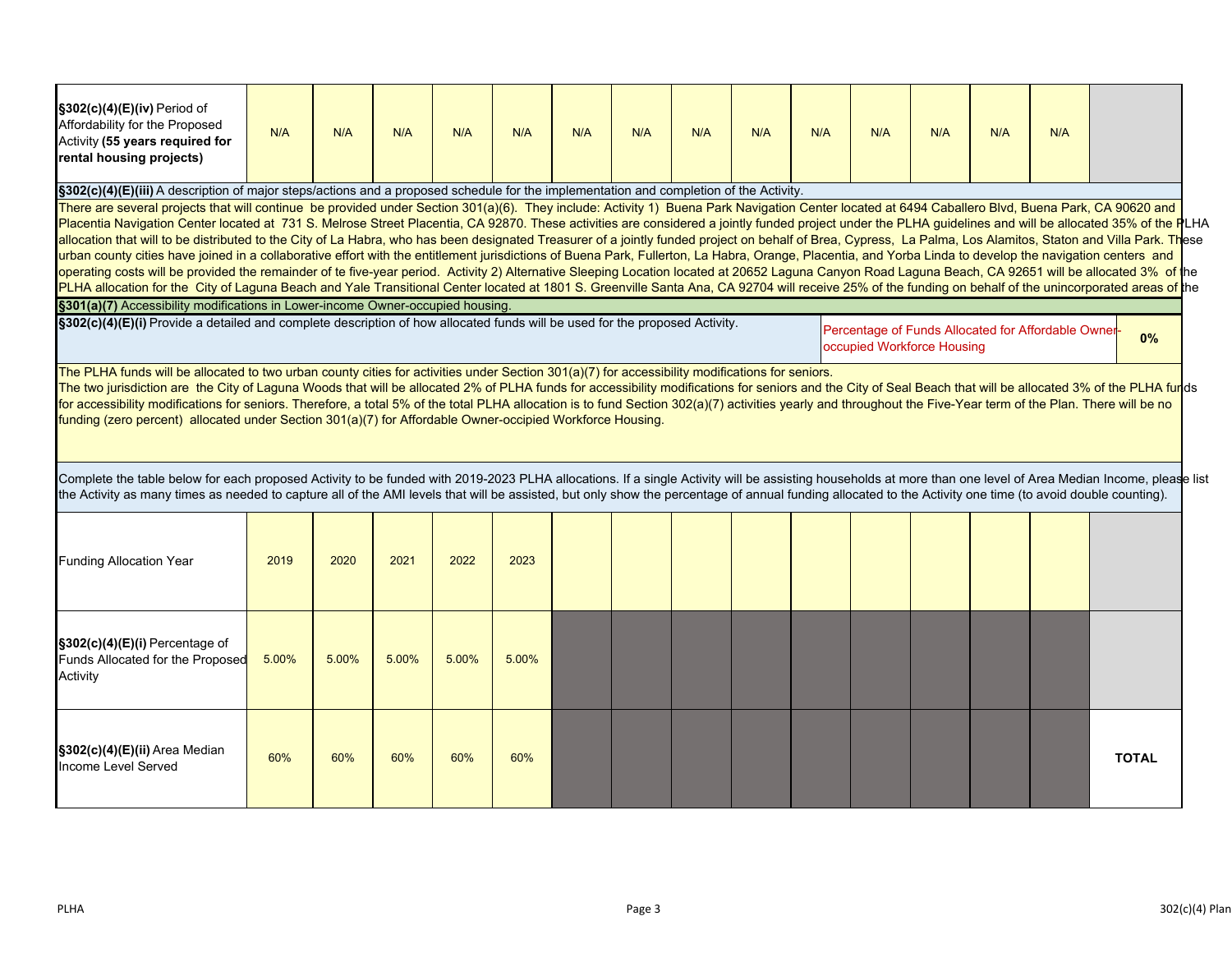| $\textsf{S}302(c)(4)(E)(iv)$ Period of<br>Affordability for the Proposed<br>Activity (55 years required for<br>rental housing projects)                                                                                                                                                                                                                                                                                                                                                                                                                                                                                                                                                                                                                                                                                                                                                                                                                                                                                                                                                                                                                                                                                                                                                                                                                                                                                                                                                                                                                                                                                           | N/A                                                                                                                                                                                                                                                                                                                                                                                                                                                                                                                                                                                                                                                                            | N/A | N/A | N/A | N/A | N/A | N/A | N/A | N/A | N/A | N/A | N/A | N/A | N/A |              |
|-----------------------------------------------------------------------------------------------------------------------------------------------------------------------------------------------------------------------------------------------------------------------------------------------------------------------------------------------------------------------------------------------------------------------------------------------------------------------------------------------------------------------------------------------------------------------------------------------------------------------------------------------------------------------------------------------------------------------------------------------------------------------------------------------------------------------------------------------------------------------------------------------------------------------------------------------------------------------------------------------------------------------------------------------------------------------------------------------------------------------------------------------------------------------------------------------------------------------------------------------------------------------------------------------------------------------------------------------------------------------------------------------------------------------------------------------------------------------------------------------------------------------------------------------------------------------------------------------------------------------------------|--------------------------------------------------------------------------------------------------------------------------------------------------------------------------------------------------------------------------------------------------------------------------------------------------------------------------------------------------------------------------------------------------------------------------------------------------------------------------------------------------------------------------------------------------------------------------------------------------------------------------------------------------------------------------------|-----|-----|-----|-----|-----|-----|-----|-----|-----|-----|-----|-----|-----|--------------|
| §302(c)(4)(E)(iii) A description of major steps/actions and a proposed schedule for the implementation and completion of the Activity.<br>There are several projects that will continue be provided under Section 301(a)(6). They include: Activity 1) Buena Park Navigation Center located at 6494 Caballero Blvd, Buena Park, CA 90620 and<br>Placentia Navigation Center located at 731 S. Melrose Street Placentia, CA 92870. These activities are considered a jointly funded project under the PLHA guidelines and will be allocated 35% of the PLHA<br>allocation that will to be distributed to the City of La Habra, who has been designated Treasurer of a jointly funded project on behalf of Brea, Cypress, La Palma, Los Alamitos, Staton and Villa Park. These<br>urban county cities have joined in a collaborative effort with the entitlement jurisdictions of Buena Park, Fullerton, La Habra, Orange, Placentia, and Yorba Linda to develop the navigation centers and<br>operating costs will be provided the remainder of te five-year period. Activity 2) Alternative Sleeping Location located at 20652 Laguna Canyon Road Laguna Beach, CA 92651 will be allocated 3% of the<br>PLHA allocation for the City of Laguna Beach and Yale Transitional Center located at 1801 S. Greenville Santa Ana, CA 92704 will receive 25% of the funding on behalf of the unincorporated areas of the<br>§301(a)(7) Accessibility modifications in Lower-income Owner-occupied housing.<br>§302(c)(4)(E)(i) Provide a detailed and complete description of how allocated funds will be used for the proposed Activity. |                                                                                                                                                                                                                                                                                                                                                                                                                                                                                                                                                                                                                                                                                |     |     |     |     |     |     |     |     |     |     |     |     |     |              |
|                                                                                                                                                                                                                                                                                                                                                                                                                                                                                                                                                                                                                                                                                                                                                                                                                                                                                                                                                                                                                                                                                                                                                                                                                                                                                                                                                                                                                                                                                                                                                                                                                                   | Percentage of Funds Allocated for Affordable Owner<br>$0\%$<br>occupied Workforce Housing<br>The PLHA funds will be allocated to two urban county cities for activities under Section 301(a)(7) for accessibility modifications for seniors.<br>The two jurisdiction are the City of Laguna Woods that will be allocated 2% of PLHA funds for accessibility modifications for seniors and the City of Seal Beach that will be allocated 3% of the PLHA funds<br>for accessibility modifications for seniors. Therefore, a total 5% of the total PLHA allocation is to fund Section 302(a)(7) activities yearly and throughout the Five-Year term of the Plan. There will be no |     |     |     |     |     |     |     |     |     |     |     |     |     |              |
| funding (zero percent) allocated under Section 301(a)(7) for Affordable Owner-occipied Workforce Housing.<br>Complete the table below for each proposed Activity to be funded with 2019-2023 PLHA allocations. If a single Activity will be assisting households at more than one level of Area Median Income, please list                                                                                                                                                                                                                                                                                                                                                                                                                                                                                                                                                                                                                                                                                                                                                                                                                                                                                                                                                                                                                                                                                                                                                                                                                                                                                                        |                                                                                                                                                                                                                                                                                                                                                                                                                                                                                                                                                                                                                                                                                |     |     |     |     |     |     |     |     |     |     |     |     |     |              |
| <b>Funding Allocation Year</b>                                                                                                                                                                                                                                                                                                                                                                                                                                                                                                                                                                                                                                                                                                                                                                                                                                                                                                                                                                                                                                                                                                                                                                                                                                                                                                                                                                                                                                                                                                                                                                                                    | the Activity as many times as needed to capture all of the AMI levels that will be assisted, but only show the percentage of annual funding allocated to the Activity one time (to avoid double counting).<br>2019<br>2020<br>2021<br>2022<br>2023                                                                                                                                                                                                                                                                                                                                                                                                                             |     |     |     |     |     |     |     |     |     |     |     |     |     |              |
| §302(c)(4)(E)(i) Percentage of<br>5.00%<br>5.00%<br>5.00%<br>5.00%<br>5.00%<br>Funds Allocated for the Proposed<br>Activity                                                                                                                                                                                                                                                                                                                                                                                                                                                                                                                                                                                                                                                                                                                                                                                                                                                                                                                                                                                                                                                                                                                                                                                                                                                                                                                                                                                                                                                                                                       |                                                                                                                                                                                                                                                                                                                                                                                                                                                                                                                                                                                                                                                                                |     |     |     |     |     |     |     |     |     |     |     |     |     |              |
| $\S302(c)(4)(E)(ii)$ Area Median<br>Income Level Served                                                                                                                                                                                                                                                                                                                                                                                                                                                                                                                                                                                                                                                                                                                                                                                                                                                                                                                                                                                                                                                                                                                                                                                                                                                                                                                                                                                                                                                                                                                                                                           | 60%                                                                                                                                                                                                                                                                                                                                                                                                                                                                                                                                                                                                                                                                            | 60% | 60% | 60% | 60% |     |     |     |     |     |     |     |     |     | <b>TOTAL</b> |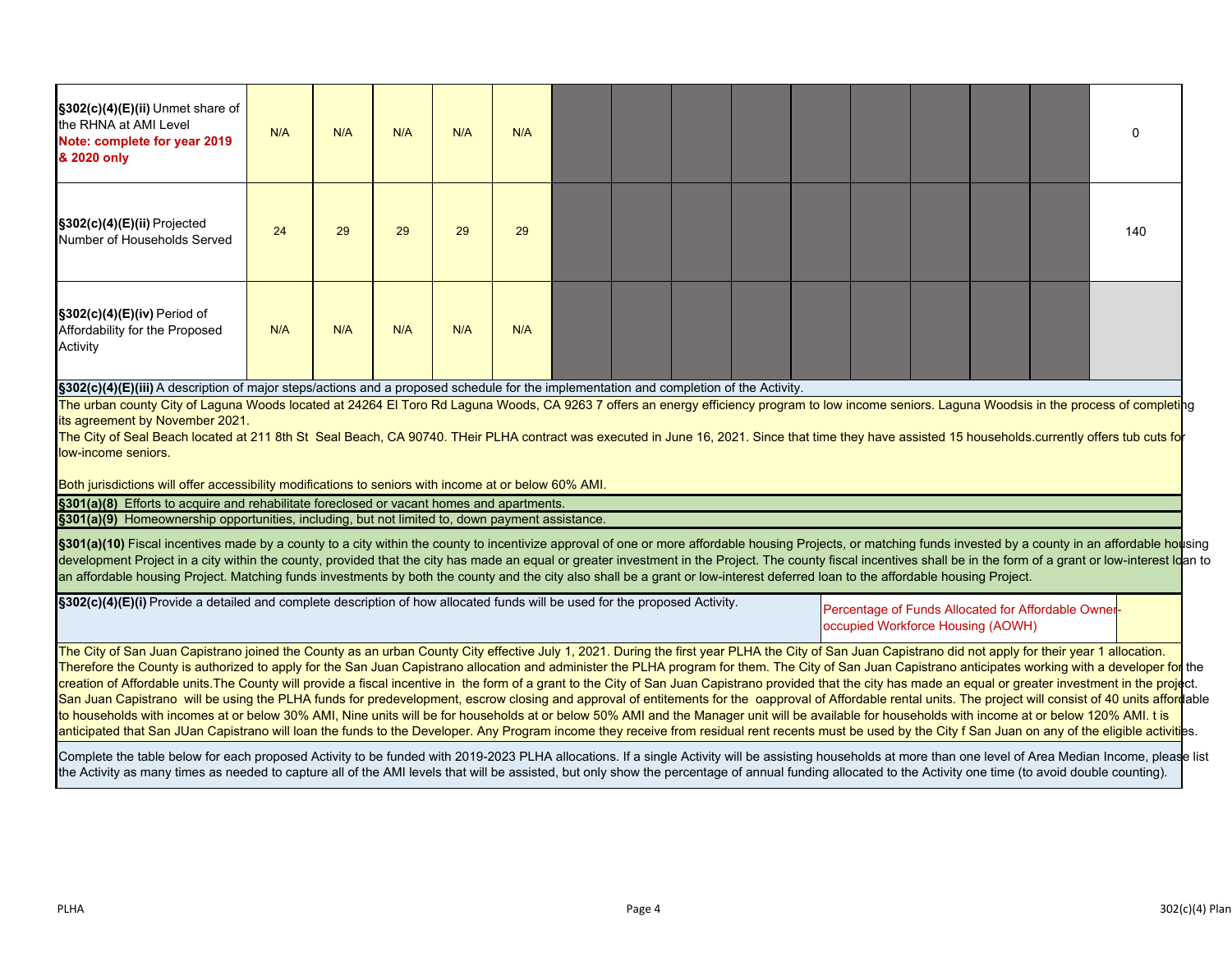| §302(c)(4)(E)(ii) Unmet share of<br>the RHNA at AMI Level<br>Note: complete for year 2019<br>& 2020 only                                                                                                                                                                                                                                                                                                                                                                                                                                                                                                                                                                                                                                                                                                                                                                                                                                                                                                                                                                                                                                                                                                                                                                                                                                                                                                                                                                                          | N/A                                                                                                                                                                                                                                                                                                                                                                                                                                                                                                                                                                                                                                                                                                                                                                                                                                                                                                                                                                                                                                                                                                                                                                                            | N/A | N/A | N/A | N/A |  |  |  |  |  |  |  |  |  | $\Omega$ |
|---------------------------------------------------------------------------------------------------------------------------------------------------------------------------------------------------------------------------------------------------------------------------------------------------------------------------------------------------------------------------------------------------------------------------------------------------------------------------------------------------------------------------------------------------------------------------------------------------------------------------------------------------------------------------------------------------------------------------------------------------------------------------------------------------------------------------------------------------------------------------------------------------------------------------------------------------------------------------------------------------------------------------------------------------------------------------------------------------------------------------------------------------------------------------------------------------------------------------------------------------------------------------------------------------------------------------------------------------------------------------------------------------------------------------------------------------------------------------------------------------|------------------------------------------------------------------------------------------------------------------------------------------------------------------------------------------------------------------------------------------------------------------------------------------------------------------------------------------------------------------------------------------------------------------------------------------------------------------------------------------------------------------------------------------------------------------------------------------------------------------------------------------------------------------------------------------------------------------------------------------------------------------------------------------------------------------------------------------------------------------------------------------------------------------------------------------------------------------------------------------------------------------------------------------------------------------------------------------------------------------------------------------------------------------------------------------------|-----|-----|-----|-----|--|--|--|--|--|--|--|--|--|----------|
| §302(c)(4)(E)(ii) Projected<br>Number of Households Served                                                                                                                                                                                                                                                                                                                                                                                                                                                                                                                                                                                                                                                                                                                                                                                                                                                                                                                                                                                                                                                                                                                                                                                                                                                                                                                                                                                                                                        | 24                                                                                                                                                                                                                                                                                                                                                                                                                                                                                                                                                                                                                                                                                                                                                                                                                                                                                                                                                                                                                                                                                                                                                                                             | 29  | 29  | 29  | 29  |  |  |  |  |  |  |  |  |  | 140      |
| §302(c)(4)(E)(iv) Period of<br>Affordability for the Proposed<br>N/A<br>N/A<br>N/A<br>N/A<br>N/A<br>Activity<br>§302(c)(4)(E)(iii) A description of major steps/actions and a proposed schedule for the implementation and completion of the Activity.                                                                                                                                                                                                                                                                                                                                                                                                                                                                                                                                                                                                                                                                                                                                                                                                                                                                                                                                                                                                                                                                                                                                                                                                                                            |                                                                                                                                                                                                                                                                                                                                                                                                                                                                                                                                                                                                                                                                                                                                                                                                                                                                                                                                                                                                                                                                                                                                                                                                |     |     |     |     |  |  |  |  |  |  |  |  |  |          |
| low-income seniors.                                                                                                                                                                                                                                                                                                                                                                                                                                                                                                                                                                                                                                                                                                                                                                                                                                                                                                                                                                                                                                                                                                                                                                                                                                                                                                                                                                                                                                                                               | The urban county City of Laguna Woods located at 24264 El Toro Rd Laguna Woods, CA 9263 7 offers an energy efficiency program to low income seniors. Laguna Woodsis in the process of completing<br>its agreement by November 2021.<br>The City of Seal Beach located at 211 8th St Seal Beach, CA 90740. THeir PLHA contract was executed in June 16, 2021. Since that time they have assisted 15 households currently offers tub cuts for<br>Both jurisdictions will offer accessibility modifications to seniors with income at or below 60% AMI.<br>§301(a)(8) Efforts to acquire and rehabilitate foreclosed or vacant homes and apartments.<br>§301(a)(9) Homeownership opportunities, including, but not limited to, down payment assistance.<br>§301(a)(10) Fiscal incentives made by a county to a city within the county to incentivize approval of one or more affordable housing Projects, or matching funds invested by a county in an affordable housing<br>development Project in a city within the county, provided that the city has made an equal or greater investment in the Project. The county fiscal incentives shall be in the form of a grant or low-interest Idan to |     |     |     |     |  |  |  |  |  |  |  |  |  |          |
| an affordable housing Project. Matching funds investments by both the county and the city also shall be a grant or low-interest deferred loan to the affordable housing Project.<br>§302(c)(4)(E)(i) Provide a detailed and complete description of how allocated funds will be used for the proposed Activity.<br>Percentage of Funds Allocated for Affordable Owner<br>occupied Workforce Housing (AOWH)                                                                                                                                                                                                                                                                                                                                                                                                                                                                                                                                                                                                                                                                                                                                                                                                                                                                                                                                                                                                                                                                                        |                                                                                                                                                                                                                                                                                                                                                                                                                                                                                                                                                                                                                                                                                                                                                                                                                                                                                                                                                                                                                                                                                                                                                                                                |     |     |     |     |  |  |  |  |  |  |  |  |  |          |
| The City of San Juan Capistrano joined the County as an urban County City effective July 1, 2021. During the first year PLHA the City of San Juan Capistrano did not apply for their year 1 allocation.<br>Therefore the County is authorized to apply for the San Juan Capistrano allocation and administer the PLHA program for them. The City of San Juan Capistrano anticipates working with a developer for the<br>creation of Affordable units. The County will provide a fiscal incentive in the form of a grant to the City of San Juan Capistrano provided that the city has made an equal or greater investment in the project.<br>San Juan Capistrano will be using the PLHA funds for predevelopment, escrow closing and approval of entitements for the oapproval of Affordable rental units. The project will consist of 40 units affordable<br>to households with incomes at or below 30% AMI, Nine units will be for households at or below 50% AMI and the Manager unit will be available for households with income at or below 120% AMI. t is<br>anticipated that San JUan Capistrano will loan the funds to the Developer. Any Program income they receive from residual rent recents must be used by the City f San Juan on any of the eligible activities.<br>Complete the table below for each proposed Activity to be funded with 2019-2023 PLHA allocations. If a single Activity will be assisting households at more than one level of Area Median Income, please list |                                                                                                                                                                                                                                                                                                                                                                                                                                                                                                                                                                                                                                                                                                                                                                                                                                                                                                                                                                                                                                                                                                                                                                                                |     |     |     |     |  |  |  |  |  |  |  |  |  |          |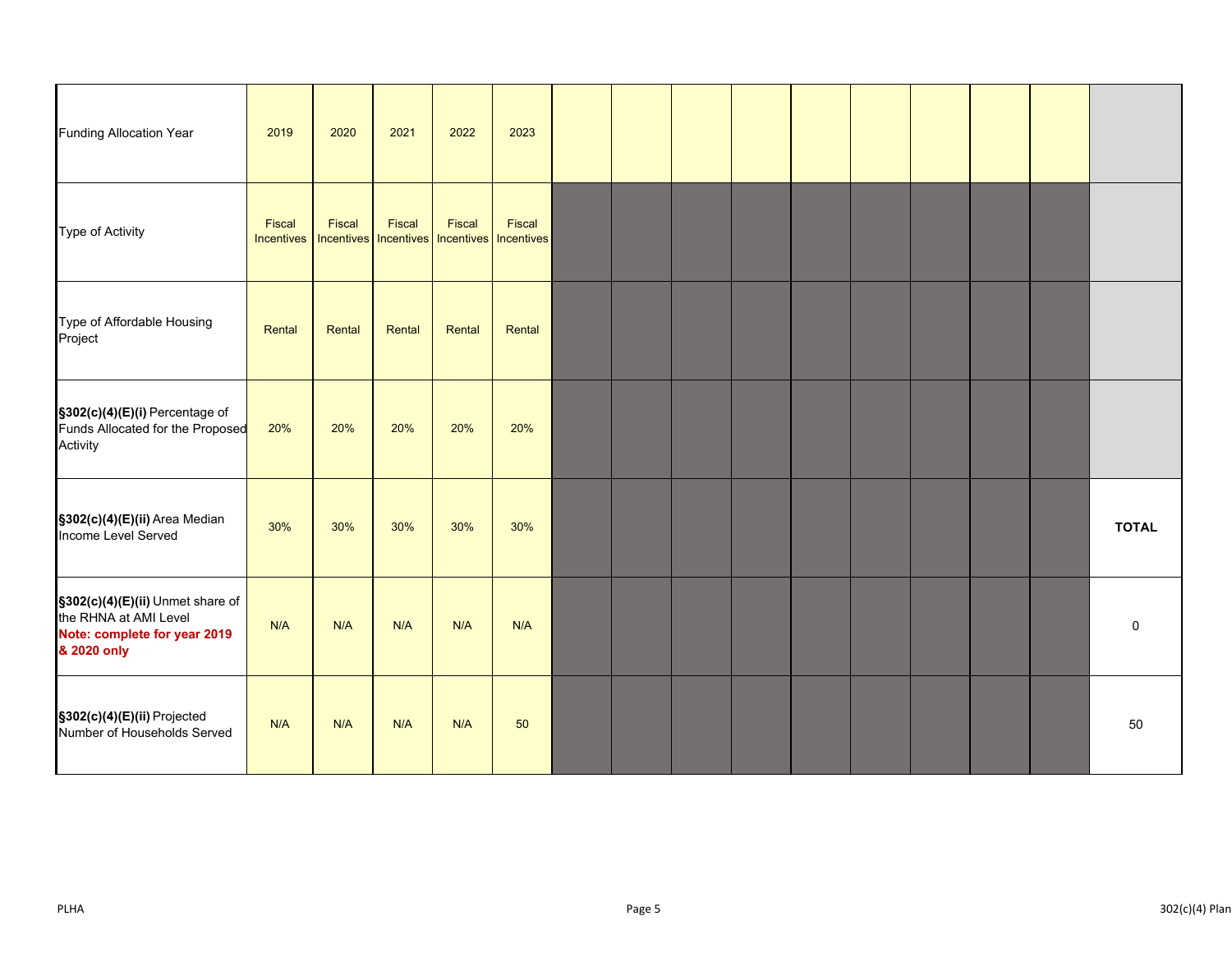| <b>Funding Allocation Year</b>                                                                           | 2019                               | 2020   | 2021   | 2022                                                        | 2023   |  |  |  |  |              |
|----------------------------------------------------------------------------------------------------------|------------------------------------|--------|--------|-------------------------------------------------------------|--------|--|--|--|--|--------------|
| Type of Activity                                                                                         | <b>Fiscal</b><br><b>Incentives</b> | Fiscal | Fiscal | Fiscal<br>Incentives   Incentives   Incentives   Incentives | Fiscal |  |  |  |  |              |
| Type of Affordable Housing<br>Project                                                                    | Rental                             | Rental | Rental | Rental                                                      | Rental |  |  |  |  |              |
| §302(c)(4)(E)(i) Percentage of<br>Funds Allocated for the Proposed<br>Activity                           | 20%                                | 20%    | 20%    | 20%                                                         | 20%    |  |  |  |  |              |
| §302(c)(4)(E)(ii) Area Median<br>Income Level Served                                                     | 30%                                | 30%    | 30%    | 30%                                                         | 30%    |  |  |  |  | <b>TOTAL</b> |
| §302(c)(4)(E)(ii) Unmet share of<br>the RHNA at AMI Level<br>Note: complete for year 2019<br>& 2020 only | N/A                                | N/A    | N/A    | N/A                                                         | N/A    |  |  |  |  | $\Omega$     |
| §302(c)(4)(E)(ii) Projected<br>Number of Households Served                                               | N/A                                | N/A    | N/A    | N/A                                                         | 50     |  |  |  |  | 50           |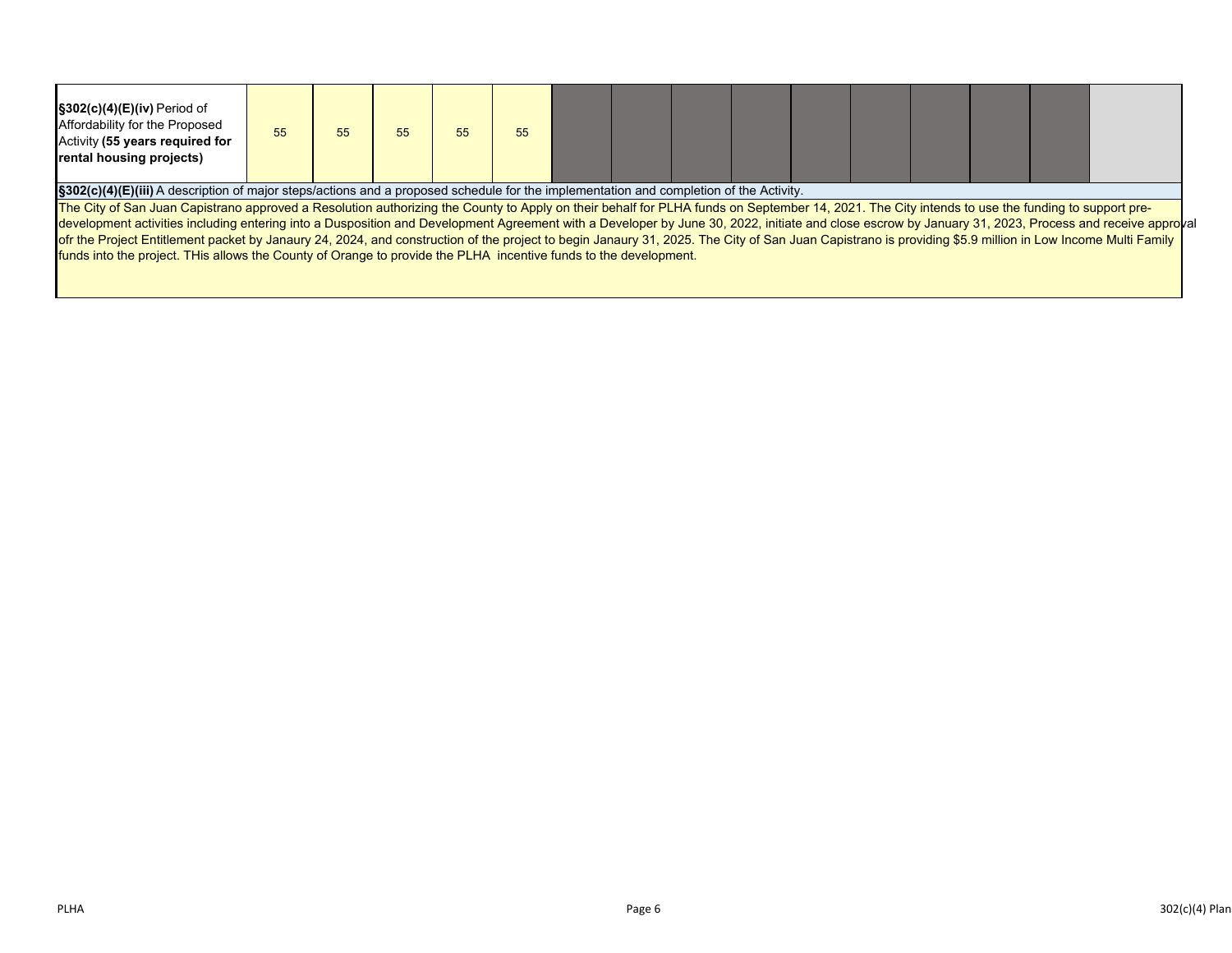| §302(c)(4)(E)(iv) Period of<br>Affordability for the Proposed<br>Activity (55 years required for<br>rental housing projects)           |  | 55 |  |  | 55 |  |  |  |  |  |  |  |  |  |  |
|----------------------------------------------------------------------------------------------------------------------------------------|--|----|--|--|----|--|--|--|--|--|--|--|--|--|--|
| §302(c)(4)(E)(iii) A description of major steps/actions and a proposed schedule for the implementation and completion of the Activity. |  |    |  |  |    |  |  |  |  |  |  |  |  |  |  |

The City of San Juan Capistrano approved a Resolution authorizing the County to Apply on their behalf for PLHA funds on September 14, 2021. The City intends to use the funding to support predevelopment activities including entering into a Dusposition and Development Agreement with a Developer by June 30, 2022, initiate and close escrow by January 31, 2023, Process and receive approval ofr the Project Entitlement packet by Janaury 24, 2024, and construction of the project to begin Janaury 31, 2025. The City of San Juan Capistrano is providing \$5.9 million in Low Income Multi Family funds into the project. THis allows the County of Orange to provide the PLHA incentive funds to the development.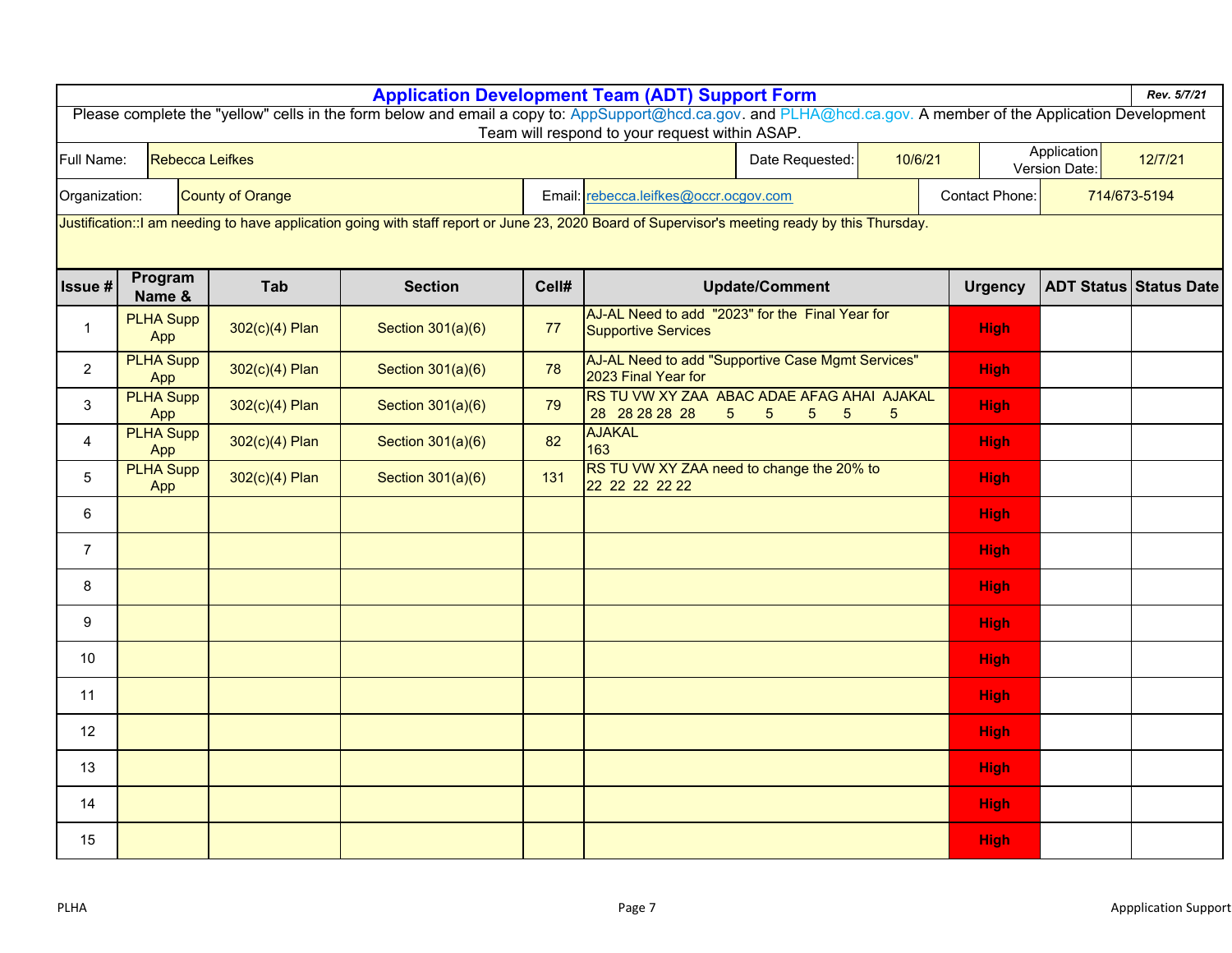|                 |                         |                         |                                                                                                                                                               |        | <b>Application Development Team (ADT) Support Form</b>                          |                                                     |                       |                |                              | Rev. 5/7/21                   |
|-----------------|-------------------------|-------------------------|---------------------------------------------------------------------------------------------------------------------------------------------------------------|--------|---------------------------------------------------------------------------------|-----------------------------------------------------|-----------------------|----------------|------------------------------|-------------------------------|
|                 |                         |                         | Please complete the "yellow" cells in the form below and email a copy to: AppSupport@hcd.ca.gov. and PLHA@hcd.ca.gov. A member of the Application Development |        | Team will respond to your request within ASAP.                                  |                                                     |                       |                |                              |                               |
| Full Name:      |                         | <b>Rebecca Leifkes</b>  |                                                                                                                                                               |        |                                                                                 | Date Requested:                                     | 10/6/21               |                | Application<br>Version Date: | 12/7/21                       |
| Organization:   |                         | <b>County of Orange</b> |                                                                                                                                                               | Email: | rebecca.leifkes@occr.ocgov.com                                                  |                                                     | <b>Contact Phone:</b> |                | 714/673-5194                 |                               |
|                 |                         |                         | Justification:: I am needing to have application going with staff report or June 23, 2020 Board of Supervisor's meeting ready by this Thursday.               |        |                                                                                 |                                                     |                       |                |                              |                               |
| Issue #         | Program<br>Name &       | Tab                     | <b>Section</b>                                                                                                                                                | Cell#  |                                                                                 | <b>Update/Comment</b>                               |                       | <b>Urgency</b> |                              | <b>ADT Status Status Date</b> |
| $\mathbf{1}$    | <b>PLHA Supp</b><br>App | 302(c)(4) Plan          | Section 301(a)(6)                                                                                                                                             | 77     | AJ-AL Need to add "2023" for the Final Year for<br>Supportive Services          |                                                     |                       | <b>High</b>    |                              |                               |
| $\overline{2}$  | <b>PLHA Supp</b><br>App | 302(c)(4) Plan          | Section 301(a)(6)                                                                                                                                             | 78     | AJ-AL Need to add "Supportive Case Mgmt Services"<br>2023 Final Year for        |                                                     |                       | <b>High</b>    |                              |                               |
| 3               | <b>PLHA Supp</b><br>App | 302(c)(4) Plan          | Section 301(a)(6)                                                                                                                                             | 79     | RS TU VW XY ZAA ABAC ADAE AFAG AHAI AJAKAL<br>28 28 28 28 28<br>$5\overline{)}$ | $5\phantom{.0}$<br>5 <sup>5</sup><br>$5\phantom{1}$ | $5\overline{)}$       | <b>High</b>    |                              |                               |
| 4               | <b>PLHA Supp</b><br>App | 302(c)(4) Plan          | Section 301(a)(6)                                                                                                                                             | 82     | <b>AJAKAL</b><br>163                                                            |                                                     |                       | <b>High</b>    |                              |                               |
| 5               | <b>PLHA Supp</b><br>App | 302(c)(4) Plan          | Section 301(a)(6)                                                                                                                                             | 131    | RS TU VW XY ZAA need to change the 20% to<br>22 22 22 22 22                     |                                                     |                       | <b>High</b>    |                              |                               |
| 6               |                         |                         |                                                                                                                                                               |        |                                                                                 |                                                     |                       | <b>High</b>    |                              |                               |
| $\overline{7}$  |                         |                         |                                                                                                                                                               |        |                                                                                 |                                                     |                       | <b>High</b>    |                              |                               |
| 8               |                         |                         |                                                                                                                                                               |        |                                                                                 |                                                     |                       | <b>High</b>    |                              |                               |
| 9               |                         |                         |                                                                                                                                                               |        |                                                                                 |                                                     |                       | <b>High</b>    |                              |                               |
| 10 <sup>°</sup> |                         |                         |                                                                                                                                                               |        |                                                                                 |                                                     |                       | <b>High</b>    |                              |                               |
| 11              |                         |                         |                                                                                                                                                               |        |                                                                                 |                                                     |                       | <b>High</b>    |                              |                               |
| 12              |                         |                         |                                                                                                                                                               |        |                                                                                 |                                                     |                       | <b>High</b>    |                              |                               |
| 13              |                         |                         |                                                                                                                                                               |        |                                                                                 |                                                     |                       | <b>High</b>    |                              |                               |
| 14              |                         |                         |                                                                                                                                                               |        |                                                                                 |                                                     |                       | <b>High</b>    |                              |                               |
| 15              |                         |                         |                                                                                                                                                               |        |                                                                                 |                                                     |                       | <b>High</b>    |                              |                               |